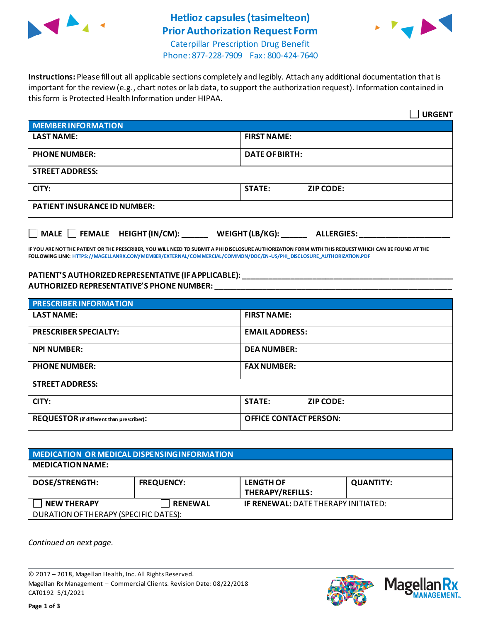

## **Hetlioz capsules(tasimelteon) Prior Authorization Request Form**



Caterpillar Prescription Drug Benefit Phone: 877-228-7909 Fax: 800-424-7640

**Instructions:** Please fill out all applicable sections completely and legibly. Attach any additional documentation that is important for the review (e.g., chart notes or lab data, to support the authorization request). Information contained in this form is Protected Health Information under HIPAA.

|                                                                                   | <b>URGENT</b>                     |  |  |  |
|-----------------------------------------------------------------------------------|-----------------------------------|--|--|--|
| <b>MEMBER INFORMATION</b>                                                         |                                   |  |  |  |
| <b>LAST NAME:</b>                                                                 | <b>FIRST NAME:</b>                |  |  |  |
| <b>PHONE NUMBER:</b>                                                              | <b>DATE OF BIRTH:</b>             |  |  |  |
| <b>STREET ADDRESS:</b>                                                            |                                   |  |  |  |
| CITY:                                                                             | <b>STATE:</b><br><b>ZIP CODE:</b> |  |  |  |
| <b>PATIENT INSURANCE ID NUMBER:</b>                                               |                                   |  |  |  |
| $\Box$ MALE $\Box$ FEMALE HEIGHT (IN/CM):<br>WEIGHT (LB/KG):<br><b>ALLERGIES:</b> |                                   |  |  |  |

**IF YOU ARE NOT THE PATIENT OR THE PRESCRIBER, YOU WILL NEED TO SUBMIT A PHI DISCLOSURE AUTHORIZATION FORM WITH THIS REQUEST WHICH CAN BE FOUND AT THE FOLLOWING LINK[: HTTPS://MAGELLANRX.COM/MEMBER/EXTERNAL/COMMERCIAL/COMMON/DOC/EN-US/PHI\\_DISCLOSURE\\_AUTHORIZATION.PDF](https://magellanrx.com/member/external/commercial/common/doc/en-us/PHI_Disclosure_Authorization.pdf)**

## **PATIENT'S AUTHORIZED REPRESENTATIVE (IF APPLICABLE): \_\_\_\_\_\_\_\_\_\_\_\_\_\_\_\_\_\_\_\_\_\_\_\_\_\_\_\_\_\_\_\_\_\_\_\_\_\_\_\_\_\_\_\_\_\_\_\_\_ AUTHORIZED REPRESENTATIVE'S PHONE NUMBER: \_\_\_\_\_\_\_\_\_\_\_\_\_\_\_\_\_\_\_\_\_\_\_\_\_\_\_\_\_\_\_\_\_\_\_\_\_\_\_\_\_\_\_\_\_\_\_\_\_\_\_\_\_\_\_**

| <b>PRESCRIBER INFORMATION</b>             |                               |  |  |  |
|-------------------------------------------|-------------------------------|--|--|--|
| <b>LAST NAME:</b>                         | <b>FIRST NAME:</b>            |  |  |  |
| <b>PRESCRIBER SPECIALTY:</b>              | <b>EMAIL ADDRESS:</b>         |  |  |  |
| <b>NPI NUMBER:</b>                        | <b>DEA NUMBER:</b>            |  |  |  |
| <b>PHONE NUMBER:</b>                      | <b>FAX NUMBER:</b>            |  |  |  |
| <b>STREET ADDRESS:</b>                    |                               |  |  |  |
| CITY:                                     | <b>STATE:</b><br>ZIP CODE:    |  |  |  |
| REQUESTOR (if different than prescriber): | <b>OFFICE CONTACT PERSON:</b> |  |  |  |

| MEDICATION OR MEDICAL DISPENSING INFORMATION |                   |                                            |                  |  |  |
|----------------------------------------------|-------------------|--------------------------------------------|------------------|--|--|
| <b>MEDICATION NAME:</b>                      |                   |                                            |                  |  |  |
| <b>DOSE/STRENGTH:</b>                        | <b>FREQUENCY:</b> | <b>LENGTH OF</b><br>THERAPY/REFILLS:       | <b>QUANTITY:</b> |  |  |
| <b>NEW THERAPY</b>                           | <b>RENEWAL</b>    | <b>IF RENEWAL: DATE THERAPY INITIATED:</b> |                  |  |  |
| DURATION OF THERAPY (SPECIFIC DATES):        |                   |                                            |                  |  |  |

*Continued on next page.*

© 2017 – 2018, Magellan Health, Inc. All Rights Reserved. Magellan Rx Management – Commercial Clients. Revision Date: 08/22/2018 CAT0192 5/1/2021



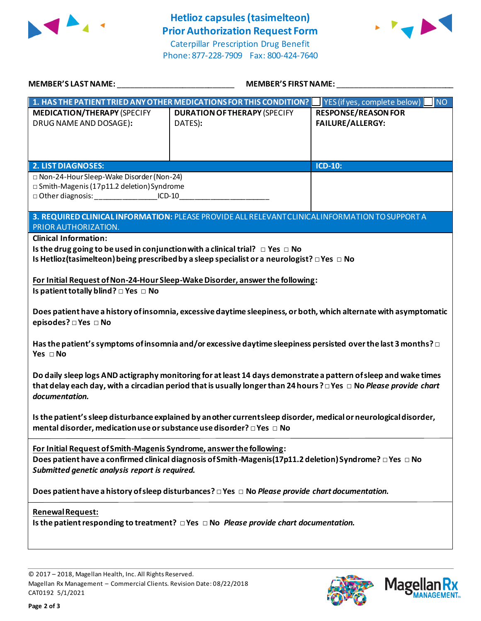

Phone: 877-228-7909 Fax: 800-424-7640



| MEMBER'S LAST NAME: NAME AND A SERIES AND A SERIES OF STREET AND A SERIES OF STREET AND A SERIES OF STREET AND                                                                                                                                                                                                                                                                                                                                                                                                                                                                                                                                                                                                                                                                                                                                                                                                        | MEMBER'S FIRST NAME:                                                                                            |                                                       |  |  |  |
|-----------------------------------------------------------------------------------------------------------------------------------------------------------------------------------------------------------------------------------------------------------------------------------------------------------------------------------------------------------------------------------------------------------------------------------------------------------------------------------------------------------------------------------------------------------------------------------------------------------------------------------------------------------------------------------------------------------------------------------------------------------------------------------------------------------------------------------------------------------------------------------------------------------------------|-----------------------------------------------------------------------------------------------------------------|-------------------------------------------------------|--|--|--|
|                                                                                                                                                                                                                                                                                                                                                                                                                                                                                                                                                                                                                                                                                                                                                                                                                                                                                                                       | 1. HAS THE PATIENT TRIED ANY OTHER MEDICATIONS FOR THIS CONDITION?<br><b>NO</b><br>YES (if yes, complete below) |                                                       |  |  |  |
| <b>MEDICATION/THERAPY (SPECIFY</b><br>DRUG NAME AND DOSAGE):                                                                                                                                                                                                                                                                                                                                                                                                                                                                                                                                                                                                                                                                                                                                                                                                                                                          | <b>DURATION OF THERAPY (SPECIFY</b><br>DATES):                                                                  | <b>RESPONSE/REASON FOR</b><br><b>FAILURE/ALLERGY:</b> |  |  |  |
| <b>2. LIST DIAGNOSES:</b>                                                                                                                                                                                                                                                                                                                                                                                                                                                                                                                                                                                                                                                                                                                                                                                                                                                                                             |                                                                                                                 | ICD-10:                                               |  |  |  |
| □ Non-24-Hour Sleep-Wake Disorder (Non-24)<br>□ Smith-Magenis (17p11.2 deletion) Syndrome<br>□ Other diagnosis: ________________________ICD-10______________________________                                                                                                                                                                                                                                                                                                                                                                                                                                                                                                                                                                                                                                                                                                                                          |                                                                                                                 |                                                       |  |  |  |
| PRIOR AUTHORIZATION.                                                                                                                                                                                                                                                                                                                                                                                                                                                                                                                                                                                                                                                                                                                                                                                                                                                                                                  | 3. REQUIRED CLINICAL INFORMATION: PLEASE PROVIDE ALL RELEVANT CLINICAL INFORMATION TO SUPPORT A                 |                                                       |  |  |  |
| <b>Clinical Information:</b><br>Is the drug going to be used in conjunction with a clinical trial? $\Box$ Yes $\Box$ No<br>Is Hetlioz (tasimelteon) being prescribed by a sleep specialist or a neurologist? $\Box$ Yes $\Box$ No<br>For Initial Request of Non-24-Hour Sleep-Wake Disorder, answer the following:<br>Is patient totally blind? $\square$ Yes $\square$ No<br>Does patient have a history of insomnia, excessive daytime sleepiness, or both, which alternate with asymptomatic<br>episodes? □ Yes □ No<br>Has the patient's symptoms of insomnia and/or excessive daytime sleepiness persisted over the last 3 months? $\Box$<br>Yes □ No<br>Do daily sleep logs AND actigraphy monitoring for at least 14 days demonstrate a pattern of sleep and wake times<br>that delay each day, with a circadian period that is usually longer than 24 hours? DYes D No Please provide chart<br>documentation. |                                                                                                                 |                                                       |  |  |  |
| Is the patient's sleep disturbance explained by an other currentsleep disorder, medical or neurological disorder,<br>mental disorder, medication use or substance use disorder? □ Yes □ No                                                                                                                                                                                                                                                                                                                                                                                                                                                                                                                                                                                                                                                                                                                            |                                                                                                                 |                                                       |  |  |  |
| For Initial Request of Smith-Magenis Syndrome, answer the following:<br>Does patient have a confirmed clinical diagnosis of Smith-Magenis(17p11.2 deletion) Syndrome? $\Box$ Yes $\Box$ No<br>Submitted genetic analysis report is required.<br>Does patient have a history of sleep disturbances? □ Yes □ No Please provide chart documentation.                                                                                                                                                                                                                                                                                                                                                                                                                                                                                                                                                                     |                                                                                                                 |                                                       |  |  |  |
| <b>Renewal Request:</b><br>Is the patient responding to treatment? $\Box$ Yes $\Box$ No Please provide chart documentation.                                                                                                                                                                                                                                                                                                                                                                                                                                                                                                                                                                                                                                                                                                                                                                                           |                                                                                                                 |                                                       |  |  |  |

© 2017 – 2018, Magellan Health, Inc. All Rights Reserved. Magellan Rx Management – Commercial Clients. Revision Date: 08/22/2018 CAT0192 5/1/2021